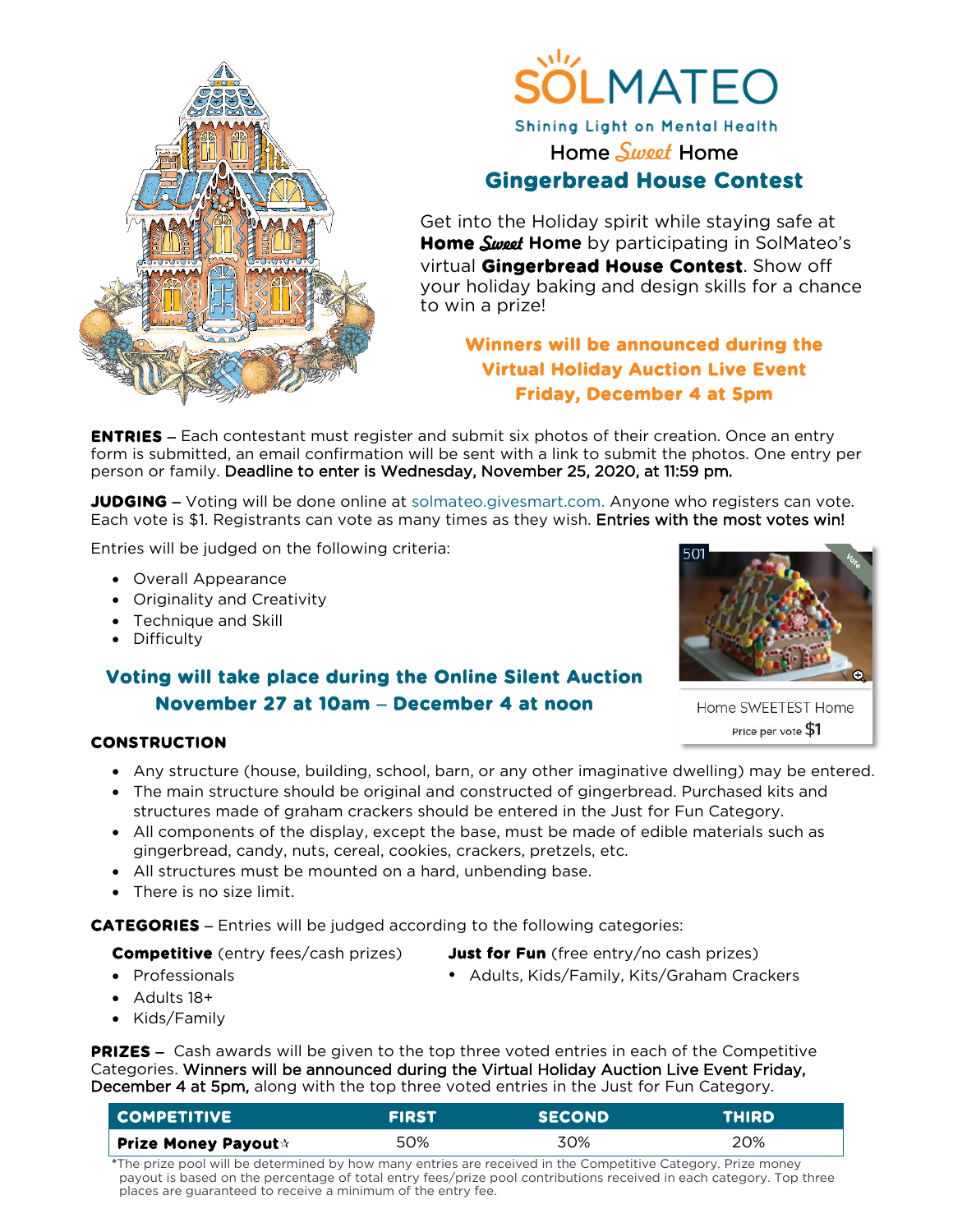



## Shining Light on Mental Health Home *Sweet* Home **Gingerbread House Contest**

Get into the Holiday spirit while staying safe at **Home Sweet Home** by participating in SolMateo's virtual **Gingerbread House Contest**. Show off your holiday baking and design skills for a chance to win a prize!

## **Winners will be announced during the Virtual Holiday Auction Live Event Friday, December 4 at 5pm**

**ENTRIES** − Each contestant must register and submit six photos of their creation. Once an entry form is submitted, an email confirmation will be sent with a link to submit the photos. One entry per person or family. Deadline to enter is Wednesday, November 25, 2020, at 11:59 pm.

**JUDGING** – Voting will be done online at [solmateo.givesmart.com.](https://solmateo.givesmart.com/) Anyone who registers can vote. Each vote is \$1. Registrants can vote as many times as they wish. Entries with the most votes win!

Entries will be judged on the following criteria:

- Overall Appearance
- Originality and Creativity
- Technique and Skill
- Difficulty

## **Voting will take place during the Online Silent Auction November 27 at 10am** − **December 4 at noon**

### **CONSTRUCTION**

- Any structure (house, building, school, barn, or any other imaginative dwelling) may be entered.
- The main structure should be original and constructed of gingerbread. Purchased kits and structures made of graham crackers should be entered in the Just for Fun Category.
- All components of the display, except the base, must be made of edible materials such as gingerbread, candy, nuts, cereal, cookies, crackers, pretzels, etc.
- All structures must be mounted on a hard, unbending base.
- There is no size limit.

**CATEGORIES** − Entries will be judged according to the following categories:

**Competitive** (entry fees/cash prizes) **Just for Fun** (free entry/no cash prizes)

- 
- Professionals **Adults, Kids/Family, Kits/Graham Crackers Adults, Kids/Family, Kits/Graham Crackers**
- Adults 18+
- Kids/Family

**PRIZES** – Cash awards will be given to the top three voted entries in each of the Competitive Categories. Winners will be announced during the Virtual Holiday Auction Live Event Friday, December 4 at 5pm, along with the top three voted entries in the Just for Fun Category.

| <b>COMPETITIVE</b>         | <b>FIRST</b> | <b>SECOND</b> | <b>THIRD</b> |
|----------------------------|--------------|---------------|--------------|
| Prize Money Payout $\star$ | 50%          | 30%           | 20%          |

**\***The prize pool will be determined by how many entries are received in the Competitive Category. Prize money payout is based on the percentage of total entry fees/prize pool contributions received in each category. Top three places are guaranteed to receive a minimum of the entry fee.



Home SWEETEST Home Price per vote \$1